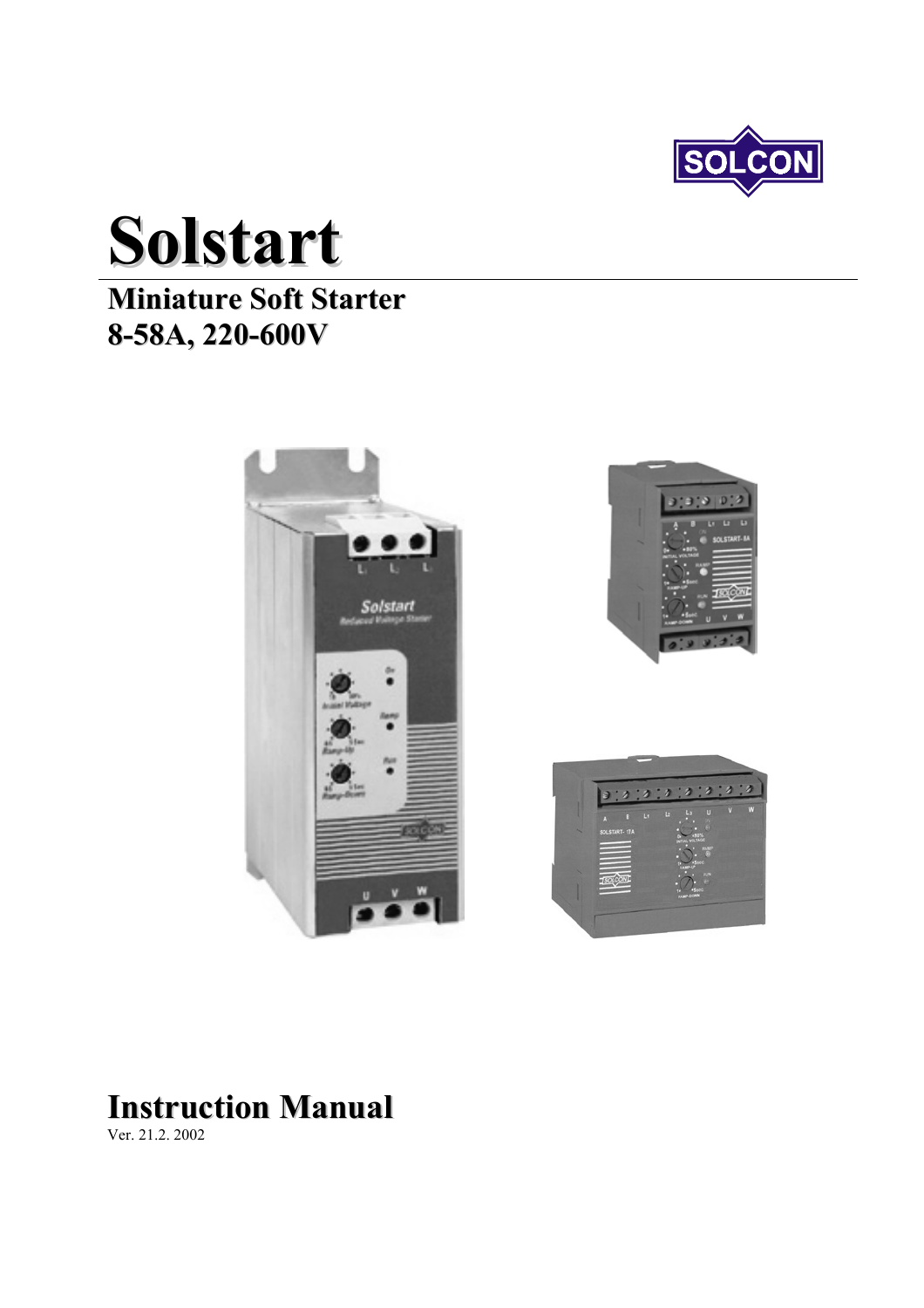

# **Solstart**

## **Miniature Soft Starter 8-58A, 220-600V**







# **Instruction Manual**

Ver. 21.2. 2002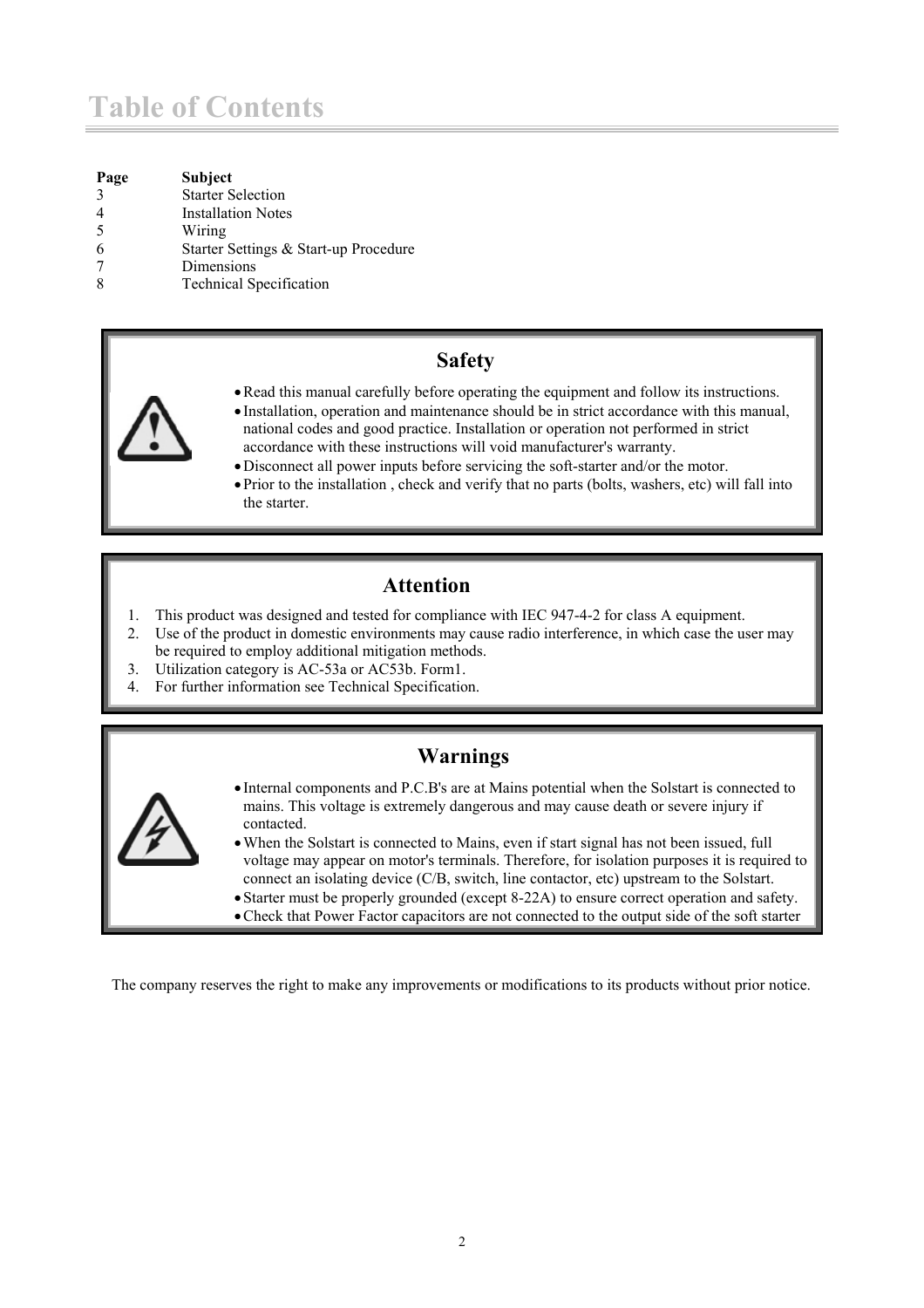### **Table of Contents**

| Page          | <b>Subject</b>                        |
|---------------|---------------------------------------|
| $\mathcal{R}$ | <b>Starter Selection</b>              |
|               | <b>Installation Notes</b>             |
| -5            | Wiring                                |
|               | Starter Settings & Start-up Procedure |
|               | Dimensions                            |
|               | <b>Technical Specification</b>        |
|               |                                       |

#### **Safety**



- Installation, operation and maintenance should be in strict accordance with this manual, national codes and good practice. Installation or operation not performed in strict accordance with these instructions will void manufacturer's warranty.
	- Disconnect all power inputs before servicing the soft-starter and/or the motor.
	- Prior to the installation , check and verify that no parts (bolts, washers, etc) will fall into the starter.

#### **Attention**

- 1. This product was designed and tested for compliance with IEC 947-4-2 for class A equipment.
- 2. Use of the product in domestic environments may cause radio interference, in which case the user may be required to employ additional mitigation methods.
- 3. Utilization category is AC-53a or AC53b. Form1.
- 4. For further information see Technical Specification.

#### **Warnings**



- Internal components and P.C.B's are at Mains potential when the Solstart is connected to mains. This voltage is extremely dangerous and may cause death or severe injury if contacted.
- When the Solstart is connected to Mains, even if start signal has not been issued, full voltage may appear on motor's terminals. Therefore, for isolation purposes it is required to connect an isolating device (C/B, switch, line contactor, etc) upstream to the Solstart.
- Starter must be properly grounded (except 8-22A) to ensure correct operation and safety.
- •Check that Power Factor capacitors are not connected to the output side of the soft starter

The company reserves the right to make any improvements or modifications to its products without prior notice.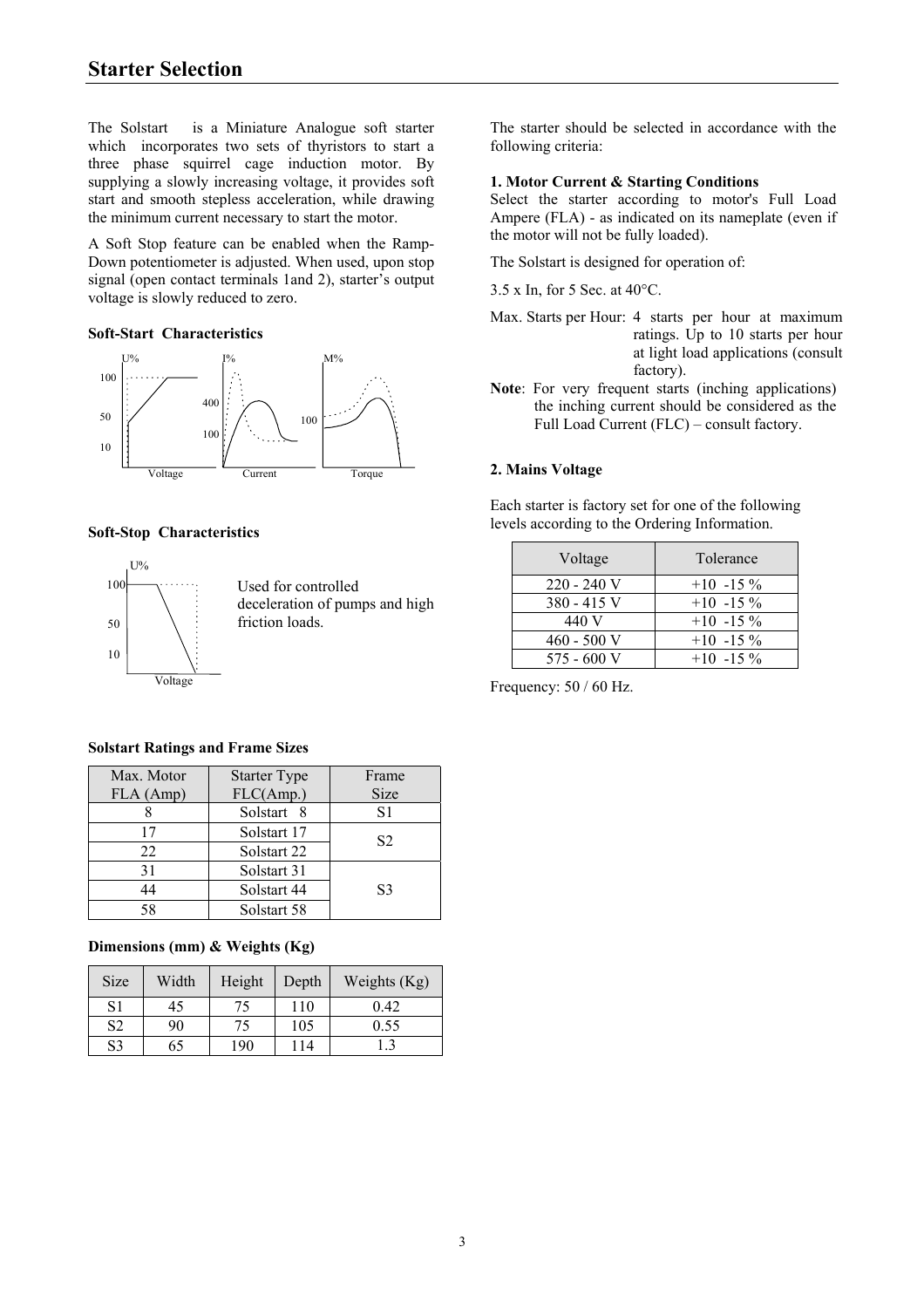The Solstart is a Miniature Analogue soft starter which incorporates two sets of thyristors to start a three phase squirrel cage induction motor. By supplying a slowly increasing voltage, it provides soft start and smooth stepless acceleration, while drawing the minimum current necessary to start the motor.

A Soft Stop feature can be enabled when the Ramp-Down potentiometer is adjusted. When used, upon stop signal (open contact terminals 1and 2), starter's output voltage is slowly reduced to zero.

#### **Soft-Start Characteristics**



#### **Soft-Stop Characteristics**



#### **Solstart Ratings and Frame Sizes**

| Max. Motor | <b>Starter Type</b> | Frame          |
|------------|---------------------|----------------|
| FLA (Amp)  | FLC(Amp.)           | <b>Size</b>    |
|            | Solstart 8          | S <sub>1</sub> |
| 17         | Solstart 17         | S <sub>2</sub> |
| 22         | Solstart 22         |                |
| 31         | Solstart 31         |                |
| 44         | Solstart 44         | S3             |
| 58         | Solstart 58         |                |

#### **Dimensions (mm) & Weights (Kg)**

| <b>Size</b>    | Width | Height | Depth           | Weights $(Kg)$ |
|----------------|-------|--------|-----------------|----------------|
| S1             | 45    | 75     | 110             | 0.42           |
| S <sub>2</sub> | 90    | 75     | 105             | 0.55           |
| S3             | 65    | 190    | $\overline{14}$ |                |

The starter should be selected in accordance with the following criteria:

#### **1. Motor Current & Starting Conditions**

Select the starter according to motor's Full Load Ampere (FLA) - as indicated on its nameplate (even if the motor will not be fully loaded).

The Solstart is designed for operation of:

- 3.5 x In, for 5 Sec. at 40°C.
- Max. Starts per Hour: 4 starts per hour at maximum ratings. Up to 10 starts per hour at light load applications (consult factory).
- **Note**: For very frequent starts (inching applications) the inching current should be considered as the Full Load Current (FLC) – consult factory.

#### **2. Mains Voltage**

Each starter is factory set for one of the following levels according to the Ordering Information.

| Voltage     | Tolerance   |
|-------------|-------------|
| 220 - 240 V | $+10$ -15 % |
| 380 - 415 V | $+10$ -15 % |
| 440 V       | $+10$ -15 % |
| 460 - 500 V | $+10$ -15%  |
| 575 - 600 V | $+10$ -15 % |

Frequency: 50 / 60 Hz.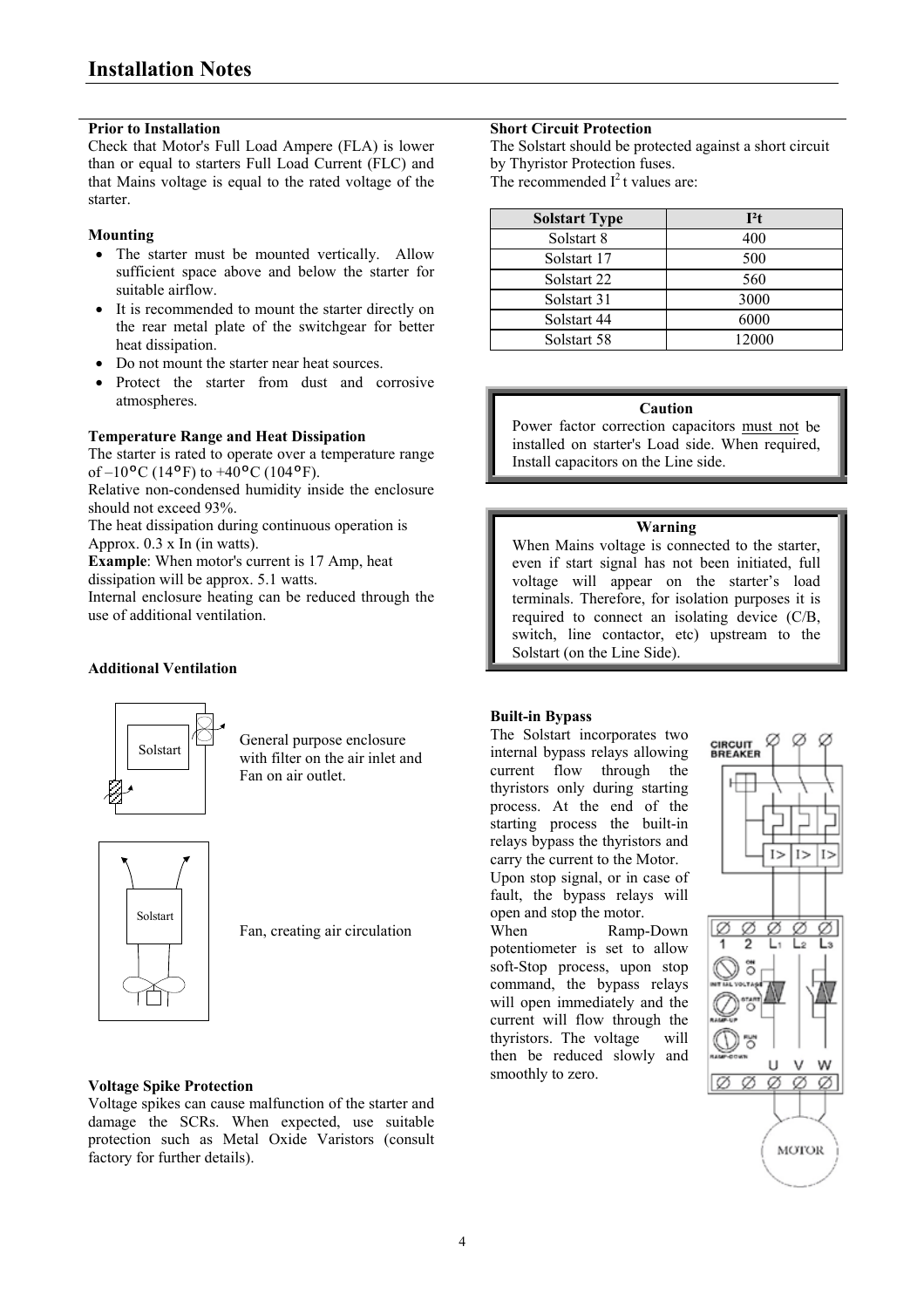#### **Prior to Installation**

Check that Motor's Full Load Ampere (FLA) is lower than or equal to starters Full Load Current (FLC) and that Mains voltage is equal to the rated voltage of the starter.

#### **Mounting**

- The starter must be mounted vertically. Allow sufficient space above and below the starter for suitable airflow.
- It is recommended to mount the starter directly on the rear metal plate of the switchgear for better heat dissipation.
- Do not mount the starter near heat sources.
- Protect the starter from dust and corrosive atmospheres.

#### **Temperature Range and Heat Dissipation**

The starter is rated to operate over a temperature range of  $-10$ <sup>o</sup>C (14<sup>o</sup>F) to  $+40$ <sup>o</sup>C (104<sup>o</sup>F).

Relative non-condensed humidity inside the enclosure should not exceed 93%.

The heat dissipation during continuous operation is Approx.  $0.3 \times \ln(\text{in watts})$ .

**Example**: When motor's current is 17 Amp, heat dissipation will be approx. 5.1 watts.

Internal enclosure heating can be reduced through the use of additional ventilation.

#### **Additional Ventilation**



General purpose enclosure with filter on the air inlet and Fan on air outlet.



Fan, creating air circulation

#### **Voltage Spike Protection**

Voltage spikes can cause malfunction of the starter and damage the SCRs. When expected, use suitable protection such as Metal Oxide Varistors (consult factory for further details).

#### **Short Circuit Protection**

The Solstart should be protected against a short circuit by Thyristor Protection fuses. The recommended  $I^2$ t values are:

| <b>Solstart Type</b> | $I^2t$ |
|----------------------|--------|
| Solstart 8           | 400    |
| Solstart 17          | 500    |
| Solstart 22          | 560    |
| Solstart 31          | 3000   |
| Solstart 44          | 6000   |
| Solstart 58          | 12000  |

#### **Caution**

Power factor correction capacitors must not be installed on starter's Load side. When required, Install capacitors on the Line side.

#### **Warning**

When Mains voltage is connected to the starter, even if start signal has not been initiated, full voltage will appear on the starter's load terminals. Therefore, for isolation purposes it is required to connect an isolating device (C/B, switch, line contactor, etc) upstream to the Solstart (on the Line Side).

#### **Built-in Bypass**

The Solstart incorporates two internal bypass relays allowing current flow through the thyristors only during starting process. At the end of the starting process the built-in relays bypass the thyristors and carry the current to the Motor.

Upon stop signal, or in case of fault, the bypass relays will open and stop the motor.

When Ramp-Down potentiometer is set to allow soft-Stop process, upon stop command, the bypass relays will open immediately and the current will flow through the thyristors. The voltage will then be reduced slowly and smoothly to zero.

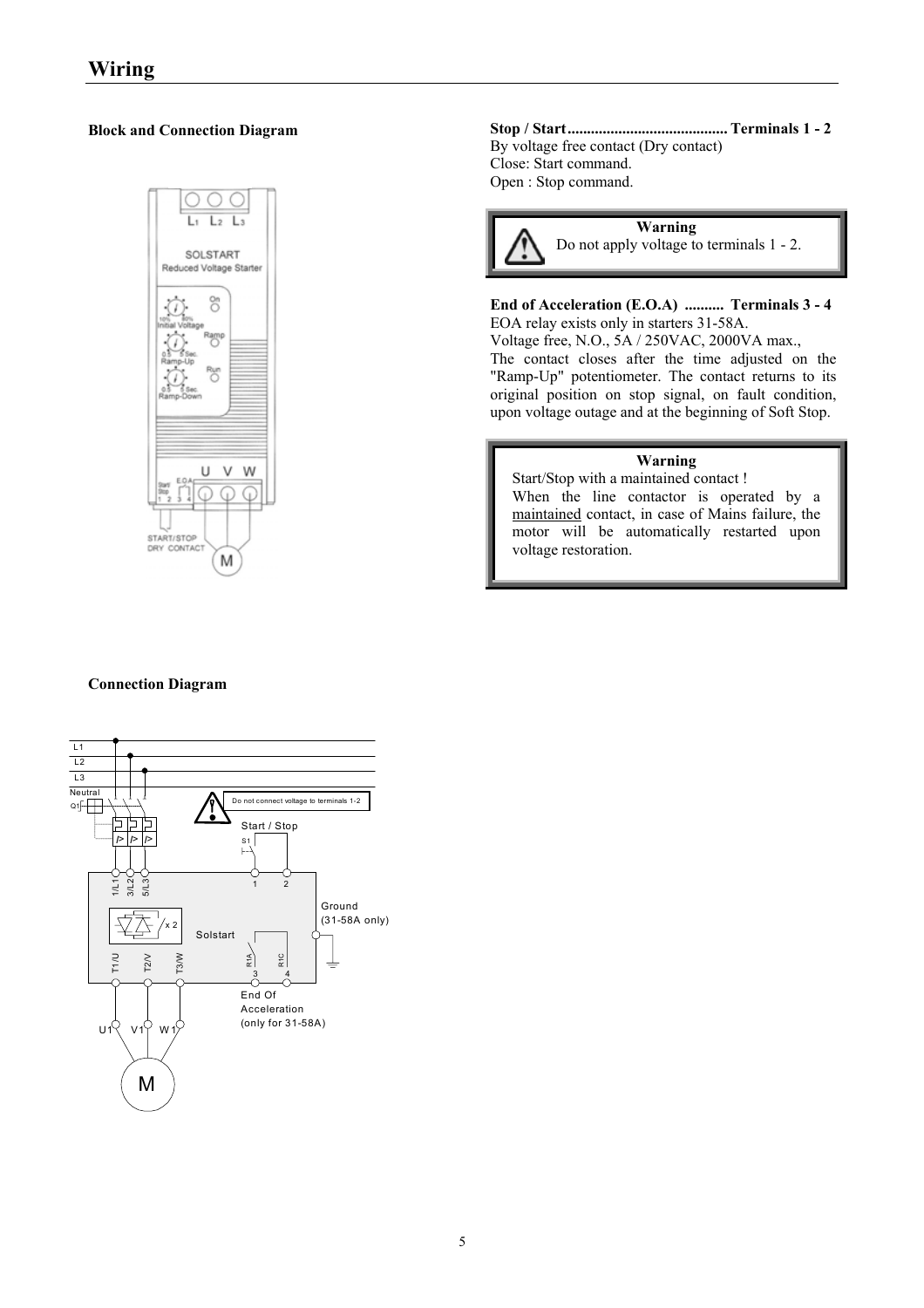#### **Block and Connection Diagram**



#### **Connection Diagram**



**Stop / Start......................................... Terminals 1 - 2**  By voltage free contact (Dry contact) Close: Start command. Open : Stop command.



#### **End of Acceleration (E.O.A) .......... Terminals 3 - 4**

EOA relay exists only in starters 31-58A. Voltage free, N.O., 5A / 250VAC, 2000VA max., The contact closes after the time adjusted on the "Ramp-Up" potentiometer. The contact returns to its original position on stop signal, on fault condition, upon voltage outage and at the beginning of Soft Stop.

#### **Warning**

Start/Stop with a maintained contact ! When the line contactor is operated by a maintained contact, in case of Mains failure, the motor will be automatically restarted upon voltage restoration.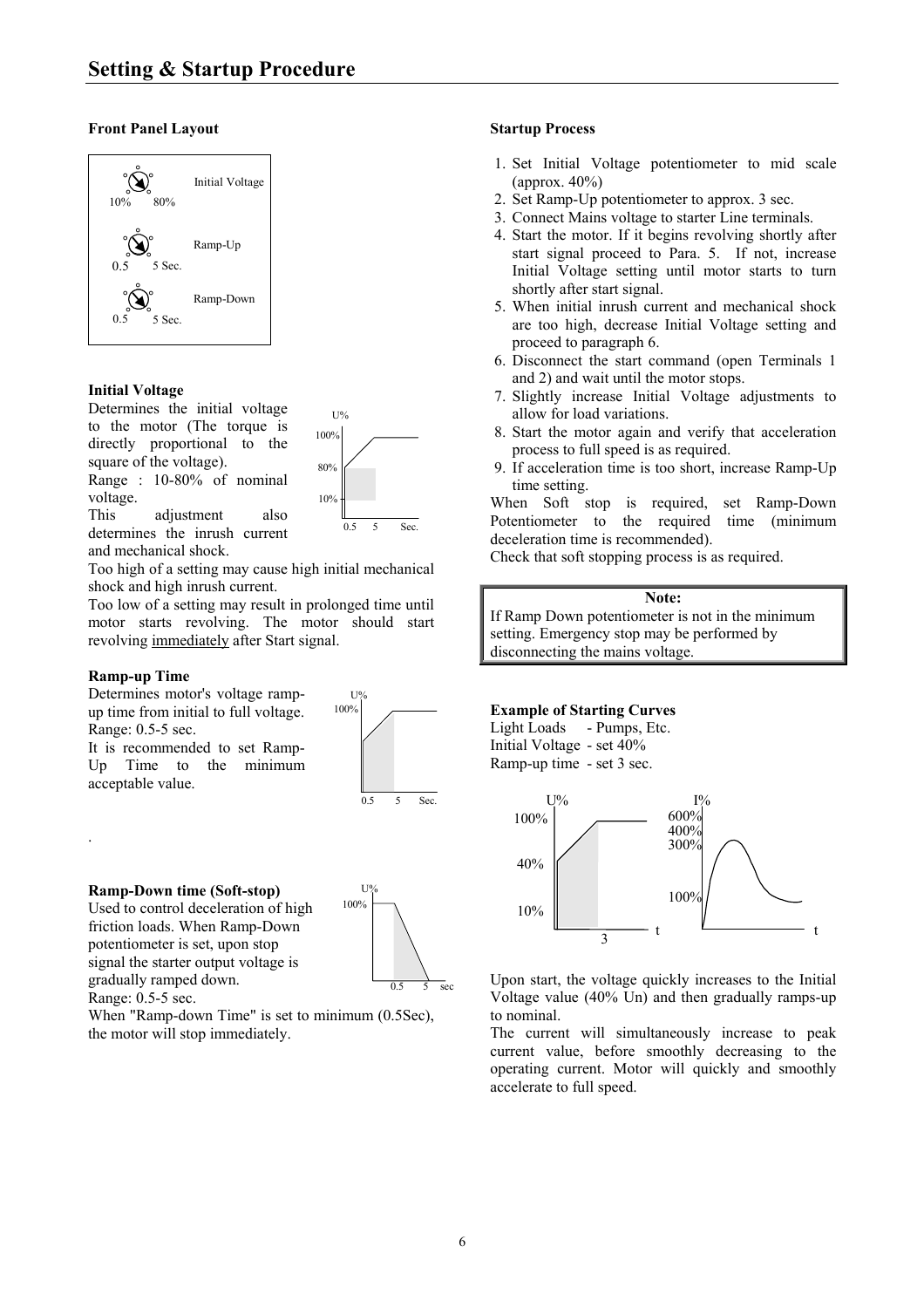#### **Front Panel Layout**



#### **Initial Voltage**

Determines the initial voltage to the motor (The torque is directly proportional to the square of the voltage). Range : 10-80% of nominal

voltage.



100%

 $U$ % 100%

This adjustment also determines the inrush current and mechanical shock.

Too high of a setting may cause high initial mechanical shock and high inrush current.

Too low of a setting may result in prolonged time until motor starts revolving. The motor should start revolving immediately after Start signal.

#### **Ramp-up Time**

.

Determines motor's voltage rampup time from initial to full voltage. Range: 0.5-5 sec.

It is recommended to set Ramp-Up Time to the minimum acceptable value.

**Ramp-Down time (Soft-stop)** 

Used to control deceleration of high friction loads. When Ramp-Down potentiometer is set, upon stop signal the starter output voltage is gradually ramped down. Range: 0.5-5 sec.



0.5 5 Sec.

When "Ramp-down Time" is set to minimum (0.5Sec), the motor will stop immediately.

#### **Startup Process**

- 1. Set Initial Voltage potentiometer to mid scale  $\frac{1}{2}$  (approx. 40%)
- 2. Set Ramp-Up potentiometer to approx. 3 sec.
- 3. Connect Mains voltage to starter Line terminals.
- 4. Start the motor. If it begins revolving shortly after start signal proceed to Para. 5. If not, increase Initial Voltage setting until motor starts to turn shortly after start signal.
- 5. When initial inrush current and mechanical shock are too high, decrease Initial Voltage setting and proceed to paragraph 6.
- 6. Disconnect the start command (open Terminals 1 and 2) and wait until the motor stops.
- 7. Slightly increase Initial Voltage adjustments to U% allow for load variations.
	- 8. Start the motor again and verify that acceleration process to full speed is as required.
	- 9. If acceleration time is too short, increase Ramp-Up time setting.

When Soft stop is required, set Ramp-Down Potentiometer to the required time (minimum deceleration time is recommended).

Check that soft stopping process is as required.

#### **Note:**

If Ramp Down potentiometer is not in the minimum setting. Emergency stop may be performed by disconnecting the mains voltage.

#### **Example of Starting Curves**

#### Light Loads - Pumps, Etc. Initial Voltage - set 40%

Ramp-up time - set 3 sec.



Upon start, the voltage quickly increases to the Initial Voltage value (40% Un) and then gradually ramps-up to nominal.

The current will simultaneously increase to peak current value, before smoothly decreasing to the operating current. Motor will quickly and smoothly accelerate to full speed.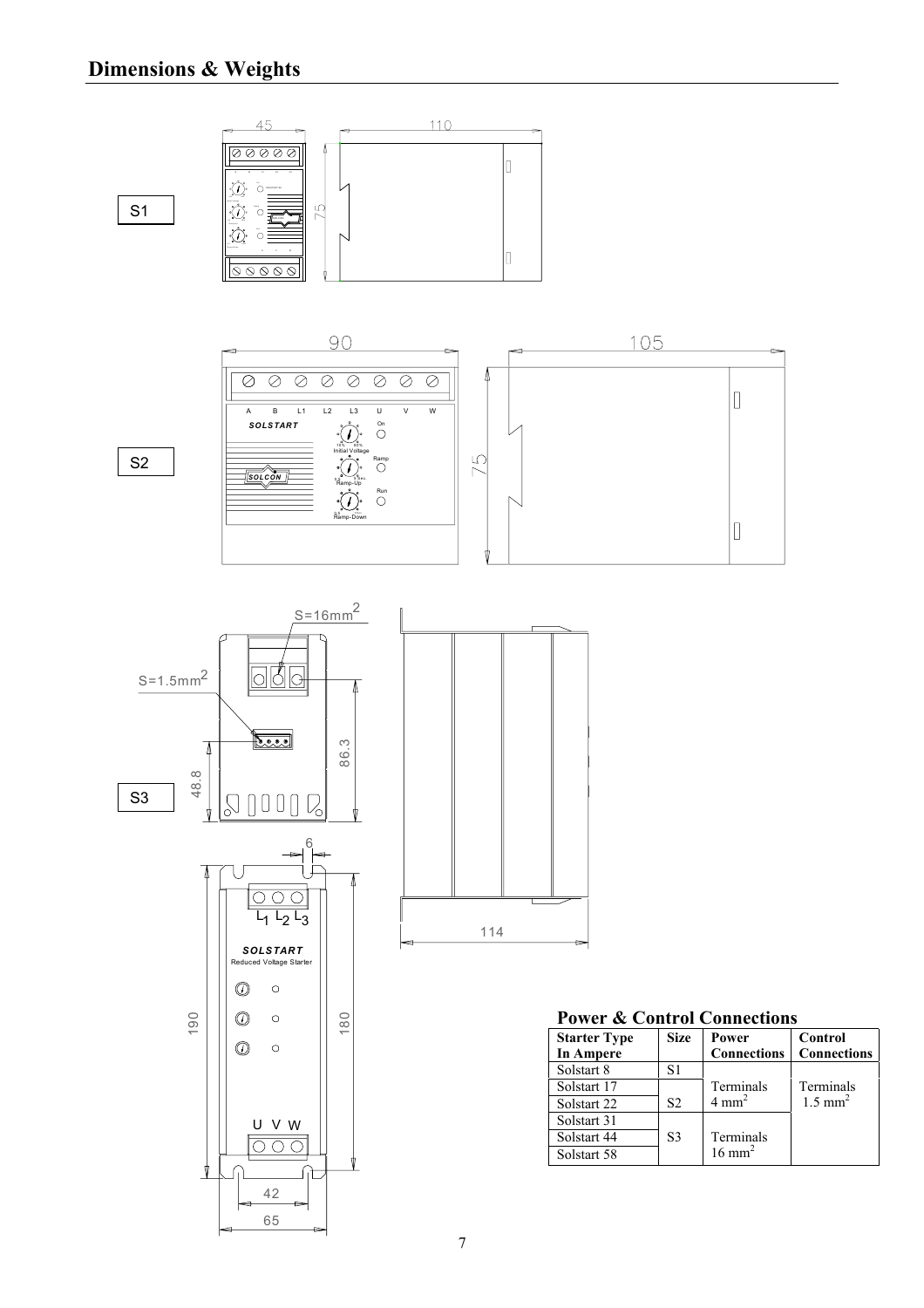